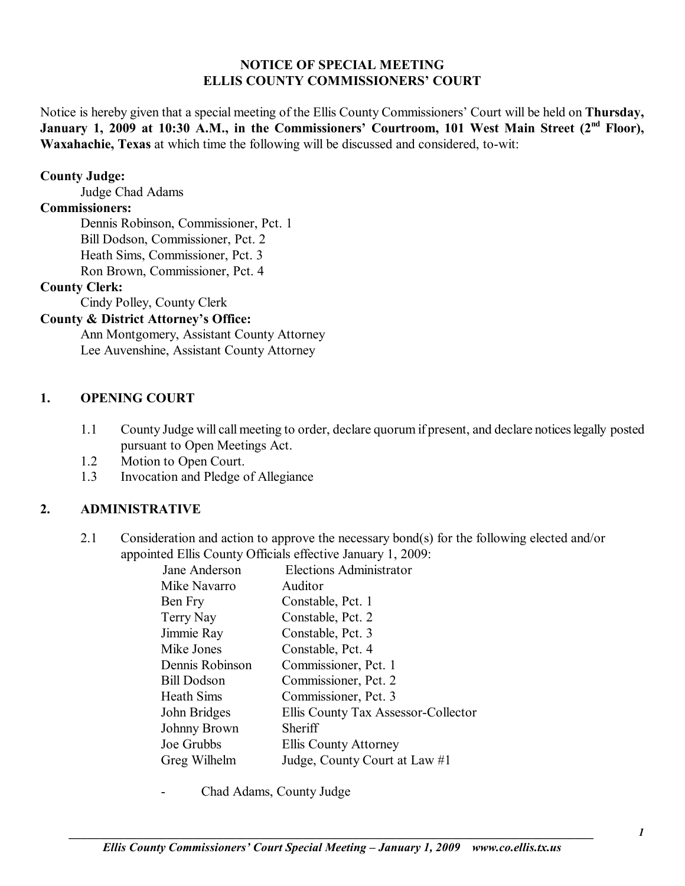### **NOTICE OF SPECIAL MEETING ELLIS COUNTY COMMISSIONERS' COURT**

Notice is hereby given that a special meeting of the Ellis County Commissioners' Court will be held on **Thursday**, January 1, 2009 at 10:30 A.M., in the Commissioners' Courtroom, 101 West Main Street (2<sup>nd</sup> Floor), **Waxahachie, Texas** at which time the following will be discussed and considered, to-wit:

## **County Judge:**

Judge Chad Adams

# **Commissioners:**

 Dennis Robinson, Commissioner, Pct. 1 Bill Dodson, Commissioner, Pct. 2 Heath Sims, Commissioner, Pct. 3 Ron Brown, Commissioner, Pct. 4

### **County Clerk:**

Cindy Polley, County Clerk

# **County & District Attorney's Office:**

 Ann Montgomery, Assistant County Attorney Lee Auvenshine, Assistant County Attorney

# **1. OPENING COURT**

- 1.1 County Judge will call meeting to order, declare quorum if present, and declare notices legally posted pursuant to Open Meetings Act.
- 1.2 Motion to Open Court.
- 1.3 Invocation and Pledge of Allegiance

# **2. ADMINISTRATIVE**

2.1 Consideration and action to approve the necessary bond(s) for the following elected and/or appointed Ellis County Officials effective January 1, 2009:

| Jane Anderson      | <b>Elections Administrator</b>      |
|--------------------|-------------------------------------|
| Mike Navarro       | Auditor                             |
| Ben Fry            | Constable, Pct. 1                   |
| Terry Nay          | Constable, Pct. 2                   |
| Jimmie Ray         | Constable, Pct. 3                   |
| Mike Jones         | Constable, Pct. 4                   |
| Dennis Robinson    | Commissioner, Pct. 1                |
| <b>Bill Dodson</b> | Commissioner, Pct. 2                |
| <b>Heath Sims</b>  | Commissioner, Pct. 3                |
| John Bridges       | Ellis County Tax Assessor-Collector |
| Johnny Brown       | Sheriff                             |
| Joe Grubbs         | Ellis County Attorney               |
| Greg Wilhelm       | Judge, County Court at Law #1       |
|                    |                                     |

- Chad Adams, County Judge